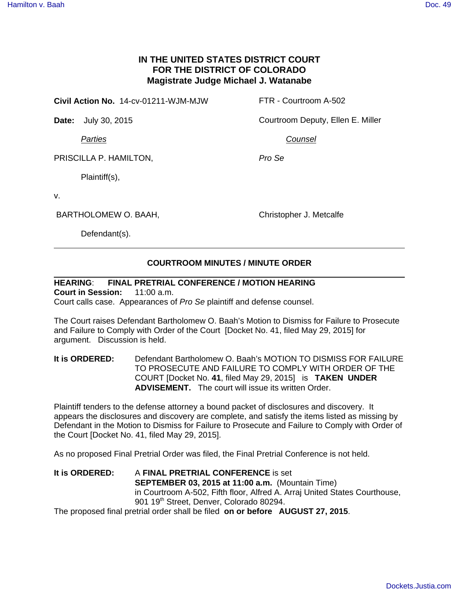## **IN THE UNITED STATES DISTRICT COURT FOR THE DISTRICT OF COLORADO Magistrate Judge Michael J. Watanabe**

**Civil Action No.** 14-cv-01211-WJM-MJW FTR - Courtroom A-502

**Date:** July 30, 2015 Courtroom Deputy, Ellen E. Miller

Parties

Counsel

Pro Se

PRISCILLA P. HAMILTON,

Plaintiff(s),

v.

BARTHOLOMEW O. BAAH,

Christopher J. Metcalfe

Defendant(s).

## **COURTROOM MINUTES / MINUTE ORDER**

## **HEARING**: **FINAL PRETRIAL CONFERENCE / MOTION HEARING**

**Court in Session:** 11:00 a.m. Court calls case. Appearances of Pro Se plaintiff and defense counsel.

The Court raises Defendant Bartholomew O. Baah's Motion to Dismiss for Failure to Prosecute and Failure to Comply with Order of the Court [Docket No. 41, filed May 29, 2015] for argument. Discussion is held.

**It is ORDERED:** Defendant Bartholomew O. Baah's MOTION TO DISMISS FOR FAILURE TO PROSECUTE AND FAILURE TO COMPLY WITH ORDER OF THE COURT [Docket No. **41**, filed May 29, 2015] is **TAKEN UNDER ADVISEMENT.** The court will issue its written Order.

Plaintiff tenders to the defense attorney a bound packet of disclosures and discovery. It appears the disclosures and discovery are complete, and satisfy the items listed as missing by Defendant in the Motion to Dismiss for Failure to Prosecute and Failure to Comply with Order of the Court [Docket No. 41, filed May 29, 2015].

As no proposed Final Pretrial Order was filed, the Final Pretrial Conference is not held.

**It is ORDERED:** A **FINAL PRETRIAL CONFERENCE** is set **SEPTEMBER 03, 2015 at 11:00 a.m.** (Mountain Time) in Courtroom A-502, Fifth floor, Alfred A. Arraj United States Courthouse, 901 19<sup>th</sup> Street, Denver, Colorado 80294.

The proposed final pretrial order shall be filed **on or before AUGUST 27, 2015**.